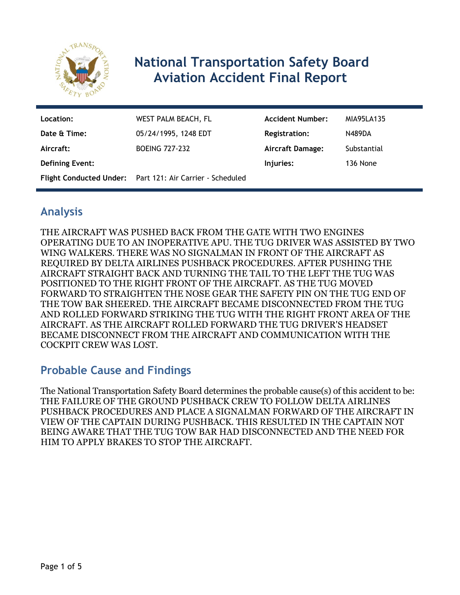

# **National Transportation Safety Board Aviation Accident Final Report**

| Location:              | WEST PALM BEACH, FL                                       | <b>Accident Number:</b> | MIA95LA135    |
|------------------------|-----------------------------------------------------------|-------------------------|---------------|
| Date & Time:           | 05/24/1995, 1248 EDT                                      | <b>Registration:</b>    | <b>N489DA</b> |
| Aircraft:              | <b>BOEING 727-232</b>                                     | <b>Aircraft Damage:</b> | Substantial   |
| <b>Defining Event:</b> |                                                           | Injuries:               | 136 None      |
|                        | Flight Conducted Under: Part 121: Air Carrier - Scheduled |                         |               |

## **Analysis**

THE AIRCRAFT WAS PUSHED BACK FROM THE GATE WITH TWO ENGINES OPERATING DUE TO AN INOPERATIVE APU. THE TUG DRIVER WAS ASSISTED BY TWO WING WALKERS. THERE WAS NO SIGNALMAN IN FRONT OF THE AIRCRAFT AS REQUIRED BY DELTA AIRLINES PUSHBACK PROCEDURES. AFTER PUSHING THE AIRCRAFT STRAIGHT BACK AND TURNING THE TAIL TO THE LEFT THE TUG WAS POSITIONED TO THE RIGHT FRONT OF THE AIRCRAFT. AS THE TUG MOVED FORWARD TO STRAIGHTEN THE NOSE GEAR THE SAFETY PIN ON THE TUG END OF THE TOW BAR SHEERED. THE AIRCRAFT BECAME DISCONNECTED FROM THE TUG AND ROLLED FORWARD STRIKING THE TUG WITH THE RIGHT FRONT AREA OF THE AIRCRAFT. AS THE AIRCRAFT ROLLED FORWARD THE TUG DRIVER'S HEADSET BECAME DISCONNECT FROM THE AIRCRAFT AND COMMUNICATION WITH THE COCKPIT CREW WAS LOST.

## **Probable Cause and Findings**

The National Transportation Safety Board determines the probable cause(s) of this accident to be: THE FAILURE OF THE GROUND PUSHBACK CREW TO FOLLOW DELTA AIRLINES PUSHBACK PROCEDURES AND PLACE A SIGNALMAN FORWARD OF THE AIRCRAFT IN VIEW OF THE CAPTAIN DURING PUSHBACK. THIS RESULTED IN THE CAPTAIN NOT BEING AWARE THAT THE TUG TOW BAR HAD DISCONNECTED AND THE NEED FOR HIM TO APPLY BRAKES TO STOP THE AIRCRAFT.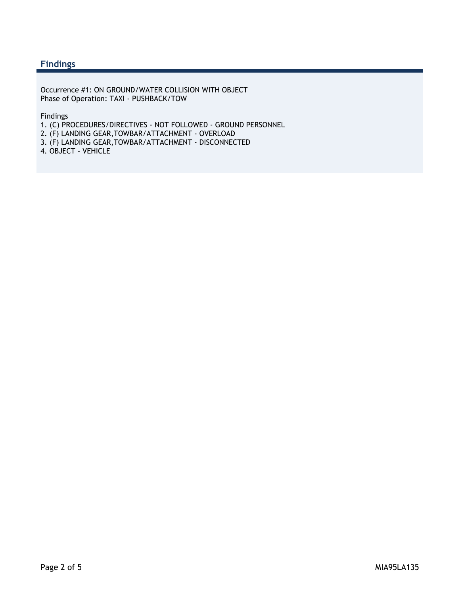#### **Findings**

Occurrence #1: ON GROUND/WATER COLLISION WITH OBJECT Phase of Operation: TAXI - PUSHBACK/TOW

Findings

1. (C) PROCEDURES/DIRECTIVES - NOT FOLLOWED - GROUND PERSONNEL

2. (F) LANDING GEAR,TOWBAR/ATTACHMENT - OVERLOAD

3. (F) LANDING GEAR,TOWBAR/ATTACHMENT - DISCONNECTED

4. OBJECT - VEHICLE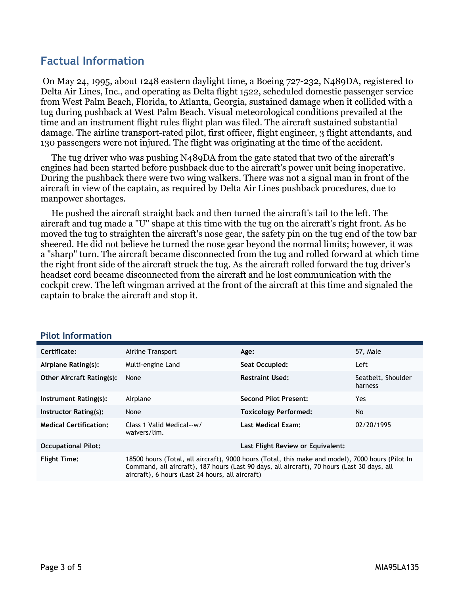### **Factual Information**

 On May 24, 1995, about 1248 eastern daylight time, a Boeing 727-232, N489DA, registered to Delta Air Lines, Inc., and operating as Delta flight 1522, scheduled domestic passenger service from West Palm Beach, Florida, to Atlanta, Georgia, sustained damage when it collided with a tug during pushback at West Palm Beach. Visual meteorological conditions prevailed at the time and an instrument flight rules flight plan was filed. The aircraft sustained substantial damage. The airline transport-rated pilot, first officer, flight engineer, 3 flight attendants, and 130 passengers were not injured. The flight was originating at the time of the accident.

 The tug driver who was pushing N489DA from the gate stated that two of the aircraft's engines had been started before pushback due to the aircraft's power unit being inoperative. During the pushback there were two wing walkers. There was not a signal man in front of the aircraft in view of the captain, as required by Delta Air Lines pushback procedures, due to manpower shortages.

 He pushed the aircraft straight back and then turned the aircraft's tail to the left. The aircraft and tug made a "U" shape at this time with the tug on the aircraft's right front. As he moved the tug to straighten the aircraft's nose gear, the safety pin on the tug end of the tow bar sheered. He did not believe he turned the nose gear beyond the normal limits; however, it was a "sharp" turn. The aircraft became disconnected from the tug and rolled forward at which time the right front side of the aircraft struck the tug. As the aircraft rolled forward the tug driver's headset cord became disconnected from the aircraft and he lost communication with the cockpit crew. The left wingman arrived at the front of the aircraft at this time and signaled the captain to brake the aircraft and stop it.

| Certificate:                     | Airline Transport                                                                                                                                                                                                                                   | Age:                              | 57, Male                      |
|----------------------------------|-----------------------------------------------------------------------------------------------------------------------------------------------------------------------------------------------------------------------------------------------------|-----------------------------------|-------------------------------|
| Airplane Rating(s):              | Multi-engine Land                                                                                                                                                                                                                                   | Seat Occupied:                    | Left                          |
| <b>Other Aircraft Rating(s):</b> | None                                                                                                                                                                                                                                                | <b>Restraint Used:</b>            | Seatbelt, Shoulder<br>harness |
| Instrument Rating(s):            | Airplane                                                                                                                                                                                                                                            | <b>Second Pilot Present:</b>      | Yes                           |
| Instructor Rating(s):            | None                                                                                                                                                                                                                                                | <b>Toxicology Performed:</b>      | No                            |
| <b>Medical Certification:</b>    | Class 1 Valid Medical--w/<br>waivers/lim.                                                                                                                                                                                                           | <b>Last Medical Exam:</b>         | 02/20/1995                    |
| <b>Occupational Pilot:</b>       |                                                                                                                                                                                                                                                     | Last Flight Review or Equivalent: |                               |
| <b>Flight Time:</b>              | 18500 hours (Total, all aircraft), 9000 hours (Total, this make and model), 7000 hours (Pilot In<br>Command, all aircraft), 187 hours (Last 90 days, all aircraft), 70 hours (Last 30 days, all<br>aircraft), 6 hours (Last 24 hours, all aircraft) |                                   |                               |

#### **Pilot Information**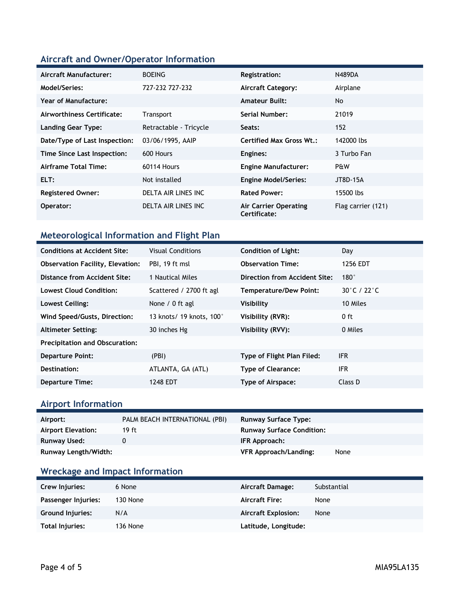#### **Aircraft and Owner/Operator Information**

| Aircraft Manufacturer:        | <b>BOEING</b>          | <b>Registration:</b>                  | <b>N489DA</b>      |
|-------------------------------|------------------------|---------------------------------------|--------------------|
| Model/Series:                 | 727-232 727-232        | <b>Aircraft Category:</b>             | Airplane           |
| <b>Year of Manufacture:</b>   |                        | <b>Amateur Built:</b>                 | No.                |
| Airworthiness Certificate:    | <b>Transport</b>       | Serial Number:                        | 21019              |
| <b>Landing Gear Type:</b>     | Retractable - Tricycle | Seats:                                | 152                |
| Date/Type of Last Inspection: | 03/06/1995, AAIP       | <b>Certified Max Gross Wt.:</b>       | 142000 lbs         |
| Time Since Last Inspection:   | 600 Hours              | Engines:                              | 3 Turbo Fan        |
| Airframe Total Time:          | 60114 Hours            | <b>Engine Manufacturer:</b>           | P&W                |
| ELT:                          | Not installed          | <b>Engine Model/Series:</b>           | JT8D-15A           |
| <b>Registered Owner:</b>      | DELTA AIR LINES INC    | <b>Rated Power:</b>                   | 15500 lbs          |
| Operator:                     | DELTA AIR LINES INC    | Air Carrier Operating<br>Certificate: | Flag carrier (121) |

### **Meteorological Information and Flight Plan**

| <b>Conditions at Accident Site:</b>     | <b>Visual Conditions</b> | <b>Condition of Light:</b>    | Day         |  |
|-----------------------------------------|--------------------------|-------------------------------|-------------|--|
| <b>Observation Facility, Elevation:</b> | PBI, 19 ft msl           | <b>Observation Time:</b>      | 1256 EDT    |  |
| Distance from Accident Site:            | 1 Nautical Miles         | Direction from Accident Site: | $180^\circ$ |  |
| <b>Lowest Cloud Condition:</b>          | Scattered / 2700 ft agl  | <b>Temperature/Dew Point:</b> | 30°C / 22°C |  |
| Lowest Ceiling:                         | None $/ 0$ ft agl        | <b>Visibility</b>             | 10 Miles    |  |
| Wind Speed/Gusts, Direction:            | 13 knots/ 19 knots, 100° | Visibility (RVR):             | 0 ft        |  |
| <b>Altimeter Setting:</b>               | 30 inches Hg             | Visibility (RVV):             | 0 Miles     |  |
| <b>Precipitation and Obscuration:</b>   |                          |                               |             |  |
| <b>Departure Point:</b>                 | (PBI)                    | Type of Flight Plan Filed:    | <b>IFR</b>  |  |
| Destination:                            | ATLANTA, GA (ATL)        | <b>Type of Clearance:</b>     | IFR         |  |
| <b>Departure Time:</b>                  | 1248 EDT                 | Type of Airspace:             | Class D     |  |

## **Airport Information**

| Airport:                  | PALM BEACH INTERNATIONAL (PBI) | <b>Runway Surface Type:</b>      |      |
|---------------------------|--------------------------------|----------------------------------|------|
| <b>Airport Elevation:</b> | 19 ft                          | <b>Runway Surface Condition:</b> |      |
| Runway Used:              |                                | IFR Approach:                    |      |
| Runway Length/Width:      |                                | <b>VFR Approach/Landing:</b>     | None |

### **Wreckage and Impact Information**

| Crew Injuries:          | 6 None   | Aircraft Damage:           | Substantial |
|-------------------------|----------|----------------------------|-------------|
| Passenger Injuries:     | 130 None | <b>Aircraft Fire:</b>      | None        |
| <b>Ground Injuries:</b> | N/A      | <b>Aircraft Explosion:</b> | None        |
| Total Injuries:         | 136 None | Latitude, Longitude:       |             |